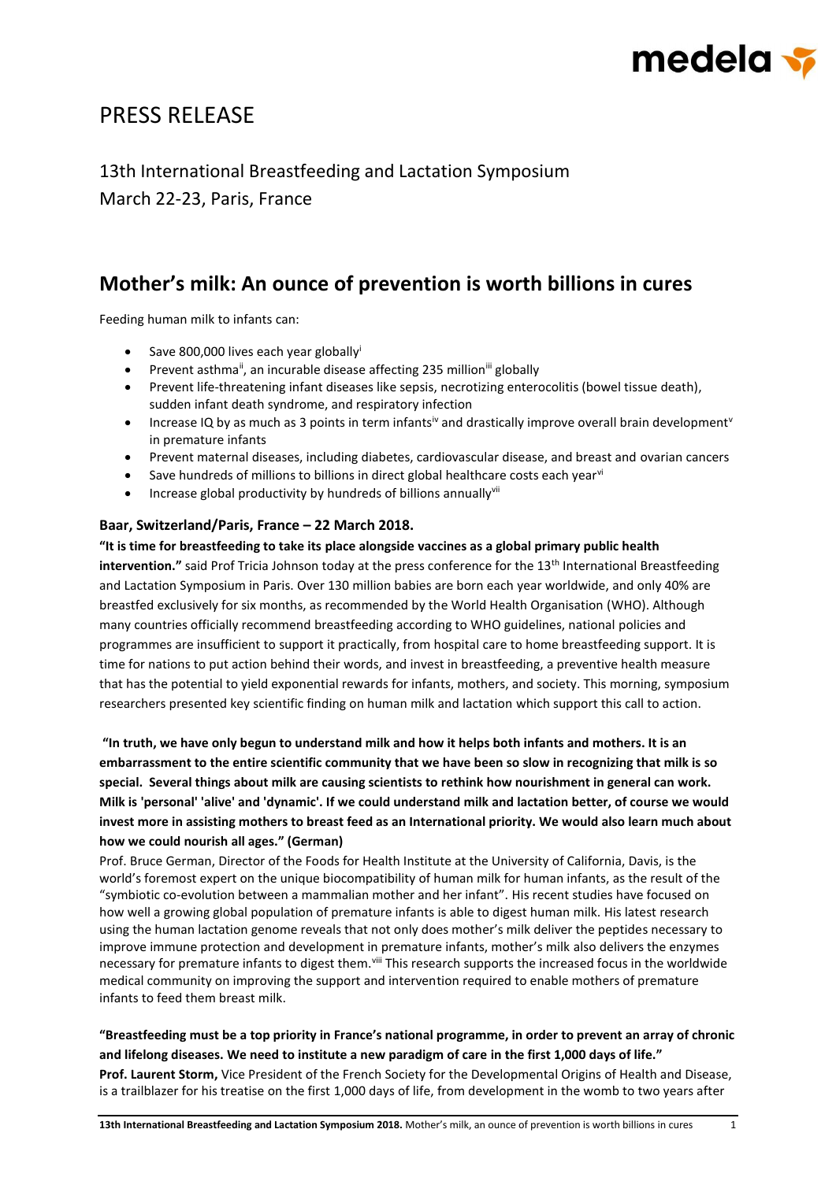

# PRESS RELEASE

13th International Breastfeeding and Lactation Symposium March 22-23, Paris, France

# **Mother's milk: An ounce of prevention is worth billions in cures**

Feeding human milk to infants can:

- Save 800,000 lives each year globallyi
- Prevent asthma<sup>ii</sup>, an incurable disease affecting 235 million<sup>iii</sup> globally
- Prevent life-threatening infant diseases like sepsis, necrotizing enterocolitis (bowel tissue death), sudden infant death syndrome, and respiratory infection
- Increase IQ by as much as 3 points in term infants<sup>iv</sup> and drastically improve overall brain development<sup>v</sup> in premature infants
- Prevent maternal diseases, including diabetes, cardiovascular disease, and breast and ovarian cancers
- Save hundreds of millions to billions in direct global healthcare costs each year<sup>vi</sup>
- Increase global productivity by hundreds of billions annually<sup>vii</sup>

### **Baar, Switzerland/Paris, France – 22 March 2018.**

**"It is time for breastfeeding to take its place alongside vaccines as a global primary public health intervention."** said Prof Tricia Johnson today at the press conference for the 13th International Breastfeeding and Lactation Symposium in Paris. Over 130 million babies are born each year worldwide, and only 40% are breastfed exclusively for six months, as recommended by the World Health Organisation (WHO). Although many countries officially recommend breastfeeding according to WHO guidelines, national policies and programmes are insufficient to support it practically, from hospital care to home breastfeeding support. It is time for nations to put action behind their words, and invest in breastfeeding, a preventive health measure that has the potential to yield exponential rewards for infants, mothers, and society. This morning, symposium

researchers presented key scientific finding on human milk and lactation which support this call to action.

**"In truth, we have only begun to understand milk and how it helps both infants and mothers. It is an embarrassment to the entire scientific community that we have been so slow in recognizing that milk is so special. Several things about milk are causing scientists to rethink how nourishment in general can work. Milk is 'personal' 'alive' and 'dynamic'. If we could understand milk and lactation better, of course we would invest more in assisting mothers to breast feed as an International priority. We would also learn much about how we could nourish all ages." (German)**

Prof. Bruce German, Director of the Foods for Health Institute at the University of California, Davis, is the world's foremost expert on the unique biocompatibility of human milk for human infants, as the result of the "symbiotic co-evolution between a mammalian mother and her infant". His recent studies have focused on how well a growing global population of premature infants is able to digest human milk. His latest research using the human lactation genome reveals that not only does mother's milk deliver the peptides necessary to improve immune protection and development in premature infants, mother's milk also delivers the enzymes necessary for premature infants to digest them.<sup>viii</sup> This research supports the increased focus in the worldwide medical community on improving the support and intervention required to enable mothers of premature infants to feed them breast milk.

**"Breastfeeding must be a top priority in France's national programme, in order to prevent an array of chronic and lifelong diseases. We need to institute a new paradigm of care in the first 1,000 days of life." Prof. Laurent Storm,** Vice President of the French Society for the Developmental Origins of Health and Disease, is a trailblazer for his treatise on the first 1,000 days of life, from development in the womb to two years after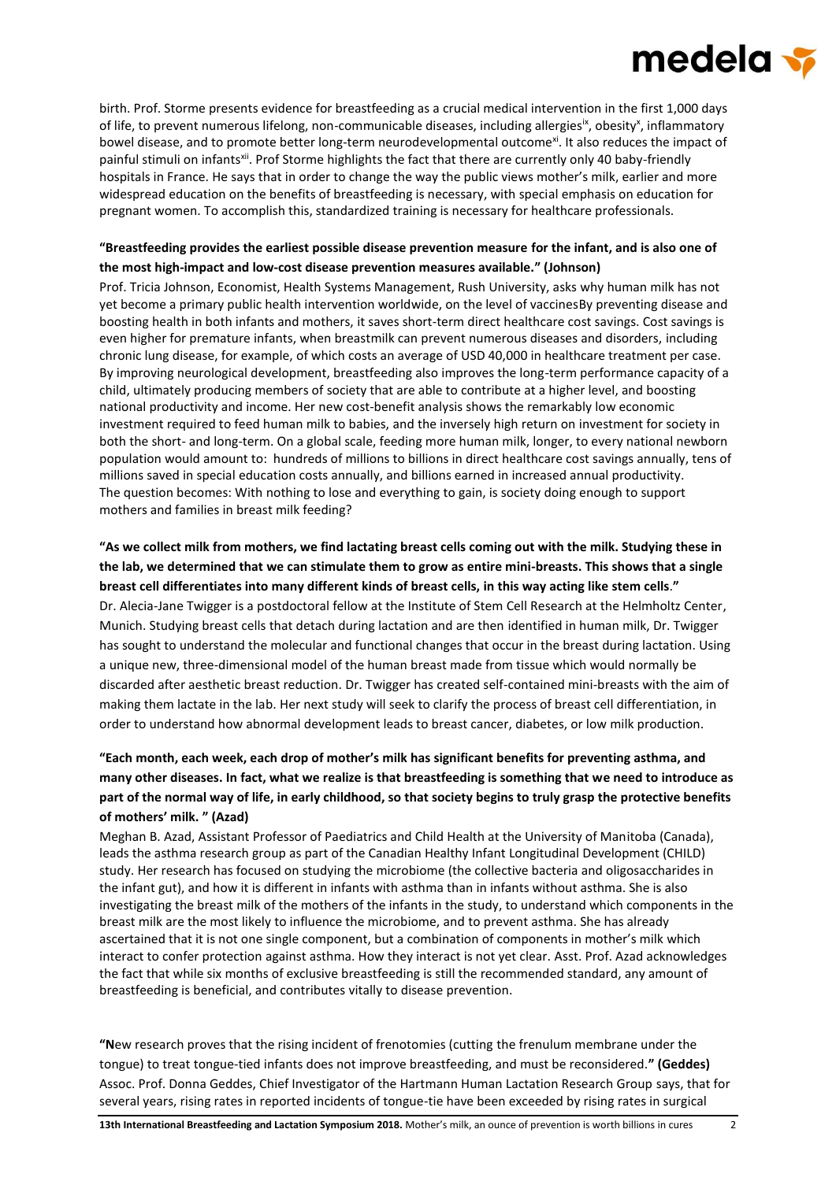# medela <del>v</del>

birth. Prof. Storme presents evidence for breastfeeding as a crucial medical intervention in the first 1,000 days of life, to prevent numerous lifelong, non-communicable diseases, including allergies<sup>ix</sup>, obesity<sup>x</sup>, inflammatory bowel disease, and to promote better long-term neurodevelopmental outcome<sup>xi</sup>. It also reduces the impact of painful stimuli on infants<sup>xii</sup>. Prof Storme highlights the fact that there are currently only 40 baby-friendly hospitals in France. He says that in order to change the way the public views mother's milk, earlier and more widespread education on the benefits of breastfeeding is necessary, with special emphasis on education for pregnant women. To accomplish this, standardized training is necessary for healthcare professionals.

### **"Breastfeeding provides the earliest possible disease prevention measure for the infant, and is also one of the most high-impact and low-cost disease prevention measures available." (Johnson)**

Prof. Tricia Johnson, Economist, Health Systems Management, Rush University, asks why human milk has not yet become a primary public health intervention worldwide, on the level of vaccinesBy preventing disease and boosting health in both infants and mothers, it saves short-term direct healthcare cost savings. Cost savings is even higher for premature infants, when breastmilk can prevent numerous diseases and disorders, including chronic lung disease, for example, of which costs an average of USD 40,000 in healthcare treatment per case. By improving neurological development, breastfeeding also improves the long-term performance capacity of a child, ultimately producing members of society that are able to contribute at a higher level, and boosting national productivity and income. Her new cost-benefit analysis shows the remarkably low economic investment required to feed human milk to babies, and the inversely high return on investment for society in both the short- and long-term. On a global scale, feeding more human milk, longer, to every national newborn population would amount to: hundreds of millions to billions in direct healthcare cost savings annually, tens of millions saved in special education costs annually, and billions earned in increased annual productivity. The question becomes: With nothing to lose and everything to gain, is society doing enough to support mothers and families in breast milk feeding?

# **"As we collect milk from mothers, we find lactating breast cells coming out with the milk. Studying these in the lab, we determined that we can stimulate them to grow as entire mini-breasts. This shows that a single breast cell differentiates into many different kinds of breast cells, in this way acting like stem cells**.**"** Dr. Alecia-Jane Twigger is a postdoctoral fellow at the Institute of Stem Cell Research at the Helmholtz Center, Munich. Studying breast cells that detach during lactation and are then identified in human milk, Dr. Twigger has sought to understand the molecular and functional changes that occur in the breast during lactation. Using a unique new, three-dimensional model of the human breast made from tissue which would normally be discarded after aesthetic breast reduction. Dr. Twigger has created self-contained mini-breasts with the aim of making them lactate in the lab. Her next study will seek to clarify the process of breast cell differentiation, in order to understand how abnormal development leads to breast cancer, diabetes, or low milk production.

# **"Each month, each week, each drop of mother's milk has significant benefits for preventing asthma, and many other diseases. In fact, what we realize is that breastfeeding is something that we need to introduce as part of the normal way of life, in early childhood, so that society begins to truly grasp the protective benefits of mothers' milk. " (Azad)**

Meghan B. Azad, Assistant Professor of Paediatrics and Child Health at the University of Manitoba (Canada), leads the asthma research group as part of the Canadian Healthy Infant Longitudinal Development (CHILD) study. Her research has focused on studying the microbiome (the collective bacteria and oligosaccharides in the infant gut), and how it is different in infants with asthma than in infants without asthma. She is also investigating the breast milk of the mothers of the infants in the study, to understand which components in the breast milk are the most likely to influence the microbiome, and to prevent asthma. She has already ascertained that it is not one single component, but a combination of components in mother's milk which interact to confer protection against asthma. How they interact is not yet clear. Asst. Prof. Azad acknowledges the fact that while six months of exclusive breastfeeding is still the recommended standard, any amount of breastfeeding is beneficial, and contributes vitally to disease prevention.

**"N**ew research proves that the rising incident of frenotomies (cutting the frenulum membrane under the tongue) to treat tongue-tied infants does not improve breastfeeding, and must be reconsidered.**" (Geddes)** Assoc. Prof. Donna Geddes, Chief Investigator of the Hartmann Human Lactation Research Group says, that for several years, rising rates in reported incidents of tongue-tie have been exceeded by rising rates in surgical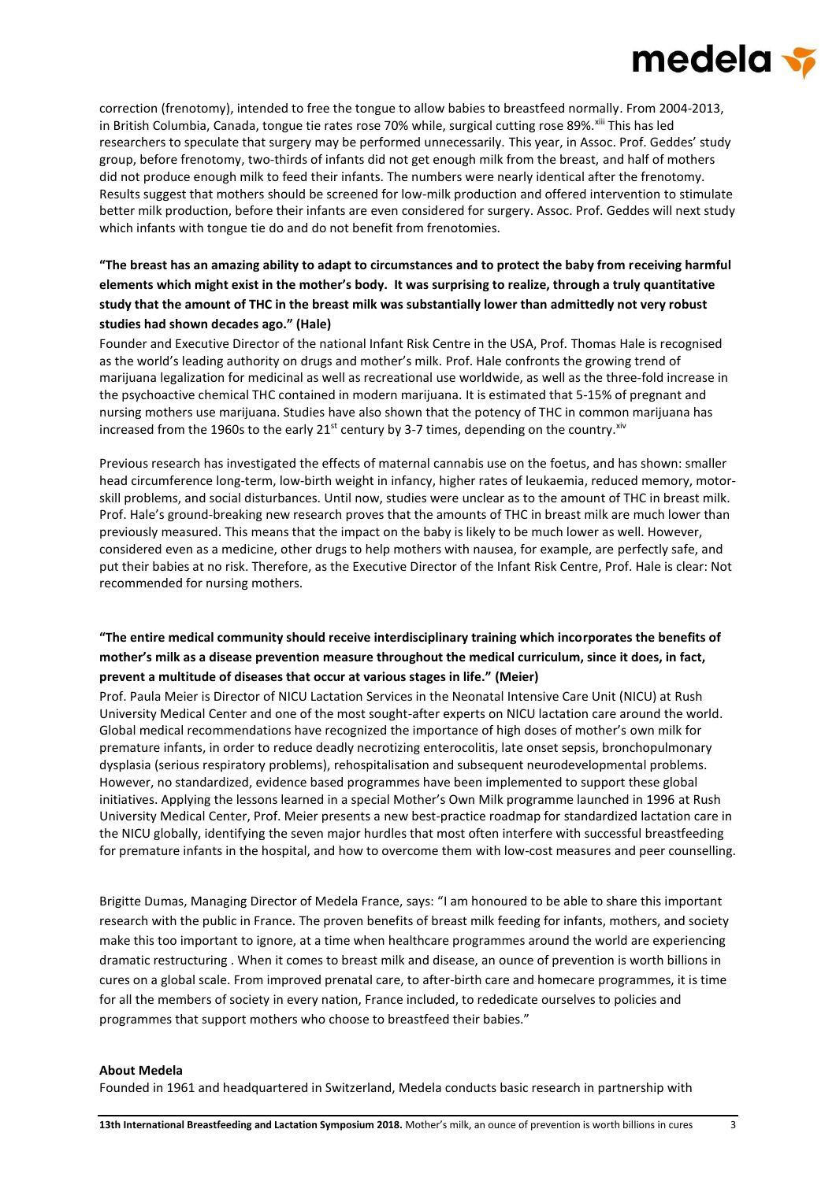# medela <del>v</del>

correction (frenotomy), intended to free the tongue to allow babies to breastfeed normally. From 2004-2013, in British Columbia, Canada, tongue tie rates rose 70% while, surgical cutting rose 89%. Xiii This has led researchers to speculate that surgery may be performed unnecessarily. This year, in Assoc. Prof. Geddes' study group, before frenotomy, two-thirds of infants did not get enough milk from the breast, and half of mothers did not produce enough milk to feed their infants. The numbers were nearly identical after the frenotomy. Results suggest that mothers should be screened for low-milk production and offered intervention to stimulate better milk production, before their infants are even considered for surgery. Assoc. Prof. Geddes will next study which infants with tongue tie do and do not benefit from frenotomies.

## **"The breast has an amazing ability to adapt to circumstances and to protect the baby from receiving harmful elements which might exist in the mother's body. It was surprising to realize, through a truly quantitative study that the amount of THC in the breast milk was substantially lower than admittedly not very robust studies had shown decades ago." (Hale)**

Founder and Executive Director of the national Infant Risk Centre in the USA, Prof. Thomas Hale is recognised as the world's leading authority on drugs and mother's milk. Prof. Hale confronts the growing trend of marijuana legalization for medicinal as well as recreational use worldwide, as well as the three-fold increase in the psychoactive chemical THC contained in modern marijuana. It is estimated that 5-15% of pregnant and nursing mothers use marijuana. Studies have also shown that the potency of THC in common marijuana has increased from the 1960s to the early 21<sup>st</sup> century by 3-7 times, depending on the country.<sup>xiv</sup>

Previous research has investigated the effects of maternal cannabis use on the foetus, and has shown: smaller head circumference long-term, low-birth weight in infancy, higher rates of leukaemia, reduced memory, motorskill problems, and social disturbances. Until now, studies were unclear as to the amount of THC in breast milk. Prof. Hale's ground-breaking new research proves that the amounts of THC in breast milk are much lower than previously measured. This means that the impact on the baby is likely to be much lower as well. However, considered even as a medicine, other drugs to help mothers with nausea, for example, are perfectly safe, and put their babies at no risk. Therefore, as the Executive Director of the Infant Risk Centre, Prof. Hale is clear: Not recommended for nursing mothers.

## **"The entire medical community should receive interdisciplinary training which incorporates the benefits of mother's milk as a disease prevention measure throughout the medical curriculum, since it does, in fact, prevent a multitude of diseases that occur at various stages in life." (Meier)**

Prof. Paula Meier is Director of NICU Lactation Services in the Neonatal Intensive Care Unit (NICU) at Rush University Medical Center and one of the most sought-after experts on NICU lactation care around the world. Global medical recommendations have recognized the importance of high doses of mother's own milk for premature infants, in order to reduce deadly necrotizing enterocolitis, late onset sepsis, bronchopulmonary dysplasia (serious respiratory problems), rehospitalisation and subsequent neurodevelopmental problems. However, no standardized, evidence based programmes have been implemented to support these global initiatives. Applying the lessons learned in a special Mother's Own Milk programme launched in 1996 at Rush University Medical Center, Prof. Meier presents a new best-practice roadmap for standardized lactation care in the NICU globally, identifying the seven major hurdles that most often interfere with successful breastfeeding for premature infants in the hospital, and how to overcome them with low-cost measures and peer counselling.

Brigitte Dumas, Managing Director of Medela France, says: "I am honoured to be able to share this important research with the public in France. The proven benefits of breast milk feeding for infants, mothers, and society make this too important to ignore, at a time when healthcare programmes around the world are experiencing dramatic restructuring . When it comes to breast milk and disease, an ounce of prevention is worth billions in cures on a global scale. From improved prenatal care, to after-birth care and homecare programmes, it is time for all the members of society in every nation, France included, to rededicate ourselves to policies and programmes that support mothers who choose to breastfeed their babies."

#### **About Medela**

Founded in 1961 and headquartered in Switzerland, Medela conducts basic research in partnership with